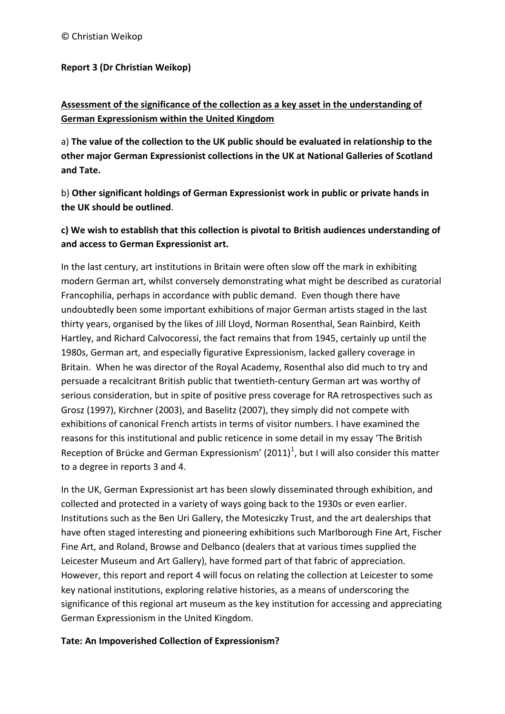### **Report 3 (Dr Christian Weikop)**

# **Assessment of the significance of the collection as a key asset in the understanding of German Expressionism within the United Kingdom**

a) **The value of the collection to the UK public should be evaluated in relationship to the other major German Expressionist collections in the UK at National Galleries of Scotland and Tate.** 

b) **Other significant holdings of German Expressionist work in public or private hands in the UK should be outlined**.

# **c) We wish to establish that this collection is pivotal to British audiences understanding of and access to German Expressionist art.**

In the last century, art institutions in Britain were often slow off the mark in exhibiting modern German art, whilst conversely demonstrating what might be described as curatorial Francophilia, perhaps in accordance with public demand. Even though there have undoubtedly been some important exhibitions of major German artists staged in the last thirty years, organised by the likes of Jill Lloyd, Norman Rosenthal, Sean Rainbird, Keith Hartley, and Richard Calvocoressi, the fact remains that from 1945, certainly up until the 1980s, German art, and especially figurative Expressionism, lacked gallery coverage in Britain. When he was director of the Royal Academy, Rosenthal also did much to try and persuade a recalcitrant British public that twentieth-century German art was worthy of serious consideration, but in spite of positive press coverage for RA retrospectives such as Grosz (1997), Kirchner (2003), and Baselitz (2007), they simply did not compete with exhibitions of canonical French artists in terms of visitor numbers. I have examined the reasons for this institutional and public reticence in some detail in my essay 'The British Reception of Brücke and German Expressionism' (20[1](#page-12-0)1)<sup>1</sup>, but I will also consider this matter to a degree in reports 3 and 4.

In the UK, German Expressionist art has been slowly disseminated through exhibition, and collected and protected in a variety of ways going back to the 1930s or even earlier. Institutions such as the Ben Uri Gallery, the Motesiczky Trust, and the art dealerships that have often staged interesting and pioneering exhibitions such Marlborough Fine Art, Fischer Fine Art, and Roland, Browse and Delbanco (dealers that at various times supplied the Leicester Museum and Art Gallery), have formed part of that fabric of appreciation. However, this report and report 4 will focus on relating the collection at Leicester to some key national institutions, exploring relative histories, as a means of underscoring the significance of this regional art museum as the key institution for accessing and appreciating German Expressionism in the United Kingdom.

## **Tate: An Impoverished Collection of Expressionism?**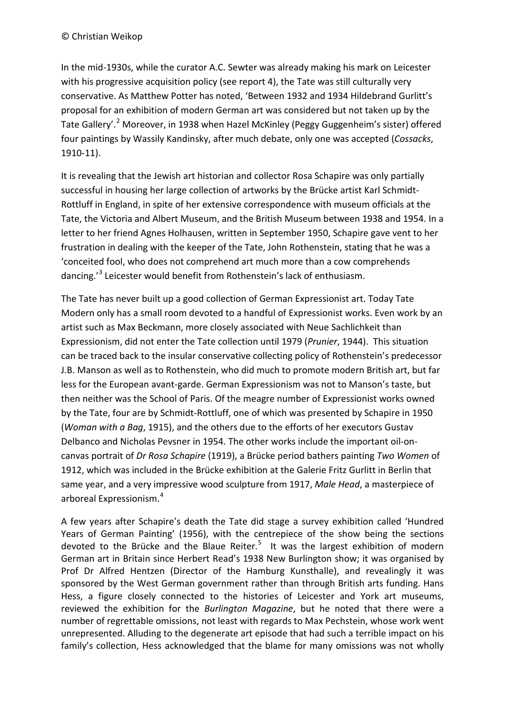#### © Christian Weikop

In the mid-1930s, while the curator A.C. Sewter was already making his mark on Leicester with his progressive acquisition policy (see report 4), the Tate was still culturally very conservative. As Matthew Potter has noted, 'Between 1932 and 1934 Hildebrand Gurlitt's proposal for an exhibition of modern German art was considered but not taken up by the Tate Gallery'.<sup>[2](#page-13-0)</sup> Moreover, in 1938 when Hazel McKinley (Peggy Guggenheim's sister) offered four paintings by Wassily Kandinsky, after much debate, only one was accepted (*Cossacks*, 1910-11).

It is revealing that the Jewish art historian and collector Rosa Schapire was only partially successful in housing her large collection of artworks by the Brücke artist Karl Schmidt-Rottluff in England, in spite of her extensive correspondence with museum officials at the Tate, the Victoria and Albert Museum, and the British Museum between 1938 and 1954. In a letter to her friend Agnes Holhausen, written in September 1950, Schapire gave vent to her frustration in dealing with the keeper of the Tate, John Rothenstein, stating that he was a 'conceited fool, who does not comprehend art much more than a cow comprehends dancing.'[3](#page-13-1) Leicester would benefit from Rothenstein's lack of enthusiasm.

The Tate has never built up a good collection of German Expressionist art. Today Tate Modern only has a small room devoted to a handful of Expressionist works. Even work by an artist such as Max Beckmann, more closely associated with Neue Sachlichkeit than Expressionism, did not enter the Tate collection until 1979 (*Prunier*, 1944). This situation can be traced back to the insular conservative collecting policy of Rothenstein's predecessor J.B. Manson as well as to Rothenstein, who did much to promote modern British art, but far less for the European avant-garde. German Expressionism was not to Manson's taste, but then neither was the School of Paris. Of the meagre number of Expressionist works owned by the Tate, four are by Schmidt-Rottluff, one of which was presented by Schapire in 1950 (*Woman with a Bag*, 1915), and the others due to the efforts of her executors Gustav Delbanco and Nicholas Pevsner in 1954. The other works include the important oil-oncanvas portrait of *Dr Rosa Schapire* (1919), a Brücke period bathers painting *Two Women* of 1912, which was included in the Brücke exhibition at the Galerie Fritz Gurlitt in Berlin that same year, and a very impressive wood sculpture from 1917, *Male Head*, a masterpiece of arboreal Expressionism.[4](#page-13-2)

A few years after Schapire's death the Tate did stage a survey exhibition called 'Hundred Years of German Painting' (1956), with the centrepiece of the show being the sections devoted to the Brücke and the Blaue Reiter.<sup>[5](#page-13-3)</sup> It was the largest exhibition of modern German art in Britain since Herbert Read's 1938 New Burlington show; it was organised by Prof Dr Alfred Hentzen (Director of the Hamburg Kunsthalle), and revealingly it was sponsored by the West German government rather than through British arts funding. Hans Hess, a figure closely connected to the histories of Leicester and York art museums, reviewed the exhibition for the *Burlington Magazine*, but he noted that there were a number of regrettable omissions, not least with regards to Max Pechstein, whose work went unrepresented. Alluding to the degenerate art episode that had such a terrible impact on his family's collection, Hess acknowledged that the blame for many omissions was not wholly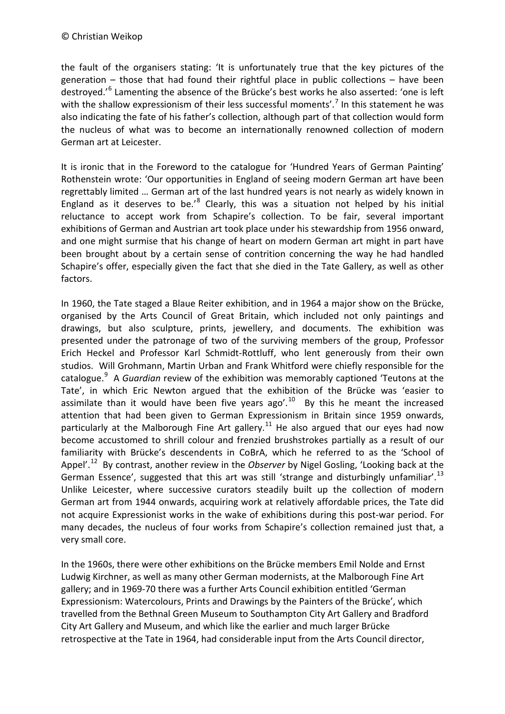the fault of the organisers stating: 'It is unfortunately true that the key pictures of the generation – those that had found their rightful place in public collections – have been destroyed.'[6](#page-14-0) Lamenting the absence of the Brücke's best works he also asserted: 'one is left with the shallow expressionism of their less successful moments'.<sup>[7](#page-14-1)</sup> In this statement he was also indicating the fate of his father's collection, although part of that collection would form the nucleus of what was to become an internationally renowned collection of modern German art at Leicester.

It is ironic that in the Foreword to the catalogue for 'Hundred Years of German Painting' Rothenstein wrote: 'Our opportunities in England of seeing modern German art have been regrettably limited … German art of the last hundred years is not nearly as widely known in England as it deserves to be.<sup>'[8](#page-14-2)</sup> Clearly, this was a situation not helped by his initial reluctance to accept work from Schapire's collection. To be fair, several important exhibitions of German and Austrian art took place under his stewardship from 1956 onward, and one might surmise that his change of heart on modern German art might in part have been brought about by a certain sense of contrition concerning the way he had handled Schapire's offer, especially given the fact that she died in the Tate Gallery, as well as other factors.

In 1960, the Tate staged a Blaue Reiter exhibition, and in 1964 a major show on the Brücke, organised by the Arts Council of Great Britain, which included not only paintings and drawings, but also sculpture, prints, jewellery, and documents. The exhibition was presented under the patronage of two of the surviving members of the group, Professor Erich Heckel and Professor Karl Schmidt-Rottluff, who lent generously from their own studios. Will Grohmann, Martin Urban and Frank Whitford were chiefly responsible for the catalogue.[9](#page-14-3) A *Guardian* review of the exhibition was memorably captioned 'Teutons at the Tate', in which Eric Newton argued that the exhibition of the Brücke was 'easier to assimilate than it would have been five years ago'.<sup>[10](#page-14-4)</sup> By this he meant the increased attention that had been given to German Expressionism in Britain since 1959 onwards, particularly at the Malborough Fine Art gallery.<sup>[11](#page-14-5)</sup> He also argued that our eyes had now become accustomed to shrill colour and frenzied brushstrokes partially as a result of our familiarity with Brücke's descendents in CoBrA, which he referred to as the 'School of Appel'.[12](#page-14-6) By contrast, another review in the *Observer* by Nigel Gosling, 'Looking back at the German Essence', suggested that this art was still 'strange and disturbingly unfamiliar'.<sup>[13](#page-14-7)</sup> Unlike Leicester, where successive curators steadily built up the collection of modern German art from 1944 onwards, acquiring work at relatively affordable prices, the Tate did not acquire Expressionist works in the wake of exhibitions during this post-war period. For many decades, the nucleus of four works from Schapire's collection remained just that, a very small core.

In the 1960s, there were other exhibitions on the Brücke members Emil Nolde and Ernst Ludwig Kirchner, as well as many other German modernists, at the Malborough Fine Art gallery; and in 1969-70 there was a further Arts Council exhibition entitled 'German Expressionism: Watercolours, Prints and Drawings by the Painters of the Brücke', which travelled from the Bethnal Green Museum to Southampton City Art Gallery and Bradford City Art Gallery and Museum, and which like the earlier and much larger Brücke retrospective at the Tate in 1964, had considerable input from the Arts Council director,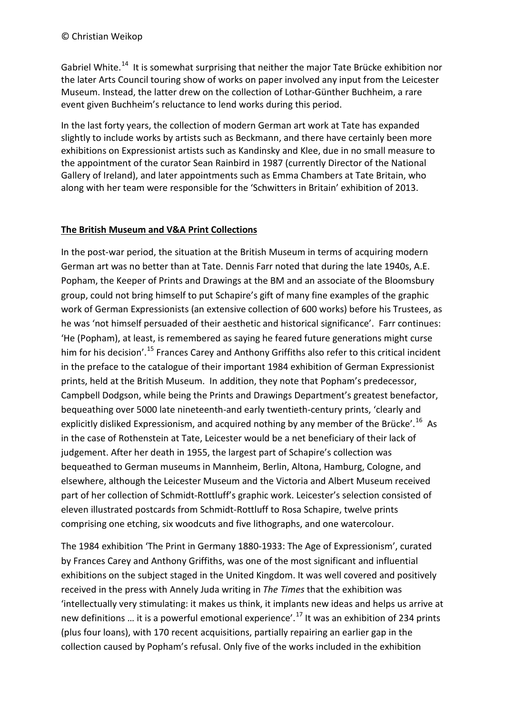Gabriel White.<sup>[14](#page-14-8)</sup> It is somewhat surprising that neither the major Tate Brücke exhibition nor the later Arts Council touring show of works on paper involved any input from the Leicester Museum. Instead, the latter drew on the collection of Lothar-Günther Buchheim, a rare event given Buchheim's reluctance to lend works during this period.

In the last forty years, the collection of modern German art work at Tate has expanded slightly to include works by artists such as Beckmann, and there have certainly been more exhibitions on Expressionist artists such as Kandinsky and Klee, due in no small measure to the appointment of the curator Sean Rainbird in 1987 (currently Director of the National Gallery of Ireland), and later appointments such as Emma Chambers at Tate Britain, who along with her team were responsible for the 'Schwitters in Britain' exhibition of 2013.

### **The British Museum and V&A Print Collections**

In the post-war period, the situation at the British Museum in terms of acquiring modern German art was no better than at Tate. Dennis Farr noted that during the late 1940s, A.E. Popham, the Keeper of Prints and Drawings at the BM and an associate of the Bloomsbury group, could not bring himself to put Schapire's gift of many fine examples of the graphic work of German Expressionists (an extensive collection of 600 works) before his Trustees, as he was 'not himself persuaded of their aesthetic and historical significance'. Farr continues: 'He (Popham), at least, is remembered as saying he feared future generations might curse him for his decision'.<sup>[15](#page-14-9)</sup> Frances Carey and Anthony Griffiths also refer to this critical incident in the preface to the catalogue of their important 1984 exhibition of German Expressionist prints, held at the British Museum. In addition, they note that Popham's predecessor, Campbell Dodgson, while being the Prints and Drawings Department's greatest benefactor, bequeathing over 5000 late nineteenth-and early twentieth-century prints, 'clearly and explicitly disliked Expressionism, and acquired nothing by any member of the Brücke'.<sup>[16](#page-14-10)</sup> As in the case of Rothenstein at Tate, Leicester would be a net beneficiary of their lack of judgement. After her death in 1955, the largest part of Schapire's collection was bequeathed to German museums in Mannheim, Berlin, Altona, Hamburg, Cologne, and elsewhere, although the Leicester Museum and the Victoria and Albert Museum received part of her collection of Schmidt-Rottluff's graphic work. Leicester's selection consisted of eleven illustrated postcards from Schmidt-Rottluff to Rosa Schapire, twelve prints comprising one etching, six woodcuts and five lithographs, and one watercolour.

The 1984 exhibition 'The Print in Germany 1880-1933: The Age of Expressionism', curated by Frances Carey and Anthony Griffiths, was one of the most significant and influential exhibitions on the subject staged in the United Kingdom. It was well covered and positively received in the press with Annely Juda writing in *The Times* that the exhibition was 'intellectually very stimulating: it makes us think, it implants new ideas and helps us arrive at new definitions ... it is a powerful emotional experience'.<sup>[17](#page-14-11)</sup> It was an exhibition of 234 prints (plus four loans), with 170 recent acquisitions, partially repairing an earlier gap in the collection caused by Popham's refusal. Only five of the works included in the exhibition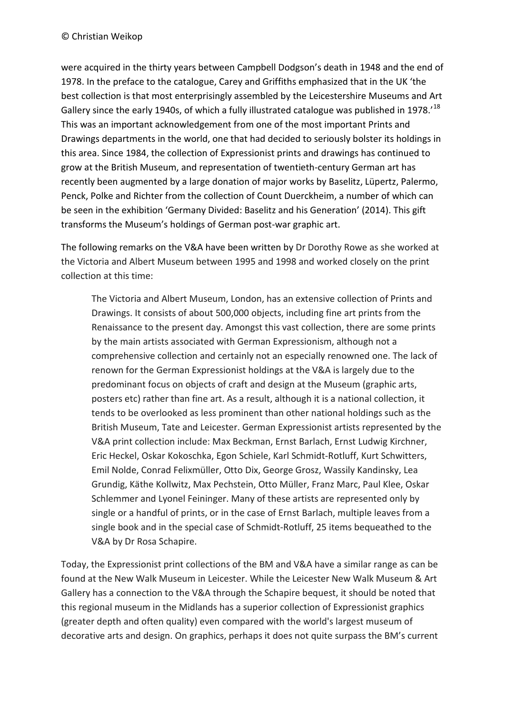were acquired in the thirty years between Campbell Dodgson's death in 1948 and the end of 1978. In the preface to the catalogue, Carey and Griffiths emphasized that in the UK 'the best collection is that most enterprisingly assembled by the Leicestershire Museums and Art Gallery since the early 1940s, of which a fully illustrated catalogue was published in 1978.<sup>'[18](#page-14-12)</sup> This was an important acknowledgement from one of the most important Prints and Drawings departments in the world, one that had decided to seriously bolster its holdings in this area. Since 1984, the collection of Expressionist prints and drawings has continued to grow at the British Museum, and representation of twentieth-century German art has recently been augmented by a large donation of major works by Baselitz, Lüpertz, Palermo, Penck, Polke and Richter from the collection of Count Duerckheim, a number of which can be seen in the exhibition 'Germany Divided: Baselitz and his Generation' (2014). This gift transforms the Museum's holdings of German post-war graphic art.

The following remarks on the V&A have been written by Dr Dorothy Rowe as she worked at the Victoria and Albert Museum between 1995 and 1998 and worked closely on the print collection at this time:

The Victoria and Albert Museum, London, has an extensive collection of Prints and Drawings. It consists of about 500,000 objects, including fine art prints from the Renaissance to the present day. Amongst this vast collection, there are some prints by the main artists associated with German Expressionism, although not a comprehensive collection and certainly not an especially renowned one. The lack of renown for the German Expressionist holdings at the V&A is largely due to the predominant focus on objects of craft and design at the Museum (graphic arts, posters etc) rather than fine art. As a result, although it is a national collection, it tends to be overlooked as less prominent than other national holdings such as the British Museum, Tate and Leicester. German Expressionist artists represented by the V&A print collection include: Max Beckman, Ernst Barlach, Ernst Ludwig Kirchner, Eric Heckel, Oskar Kokoschka, Egon Schiele, Karl Schmidt-Rotluff, Kurt Schwitters, Emil Nolde, Conrad Felixmüller, Otto Dix, George Grosz, Wassily Kandinsky, Lea Grundig, Käthe Kollwitz, Max Pechstein, Otto Müller, Franz Marc, Paul Klee, Oskar Schlemmer and Lyonel Feininger. Many of these artists are represented only by single or a handful of prints, or in the case of Ernst Barlach, multiple leaves from a single book and in the special case of Schmidt-Rotluff, 25 items bequeathed to the V&A by Dr Rosa Schapire.

Today, the Expressionist print collections of the BM and V&A have a similar range as can be found at the New Walk Museum in Leicester. While the Leicester New Walk Museum & Art Gallery has a connection to the V&A through the Schapire bequest, it should be noted that this regional museum in the Midlands has a superior collection of Expressionist graphics (greater depth and often quality) even compared with the world's largest museum of decorative arts and design. On graphics, perhaps it does not quite surpass the BM's current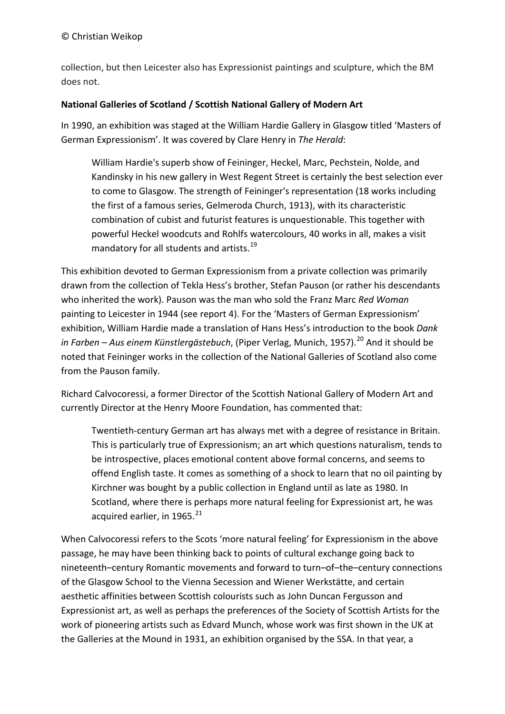collection, but then Leicester also has Expressionist paintings and sculpture, which the BM does not.

#### **National Galleries of Scotland / Scottish National Gallery of Modern Art**

In 1990, an exhibition was staged at the William Hardie Gallery in Glasgow titled 'Masters of German Expressionism'. It was covered by Clare Henry in *The Herald*:

William Hardie's superb show of Feininger, Heckel, Marc, Pechstein, Nolde, and Kandinsky in his new gallery in West Regent Street is certainly the best selection ever to come to Glasgow. The strength of Feininger's representation (18 works including the first of a famous series, Gelmeroda Church, 1913), with its characteristic combination of cubist and futurist features is unquestionable. This together with powerful Heckel woodcuts and Rohlfs watercolours, 40 works in all, makes a visit mandatory for all students and artists.<sup>[19](#page-14-0)</sup>

This exhibition devoted to German Expressionism from a private collection was primarily drawn from the collection of Tekla Hess's brother, Stefan Pauson (or rather his descendants who inherited the work). Pauson was the man who sold the Franz Marc *Red Woman* painting to Leicester in 1944 (see report 4). For the 'Masters of German Expressionism' exhibition, William Hardie made a translation of Hans Hess's introduction to the book *Dank in Farben – Aus einem Künstlergästebuch*, (Piper Verlag, Munich, 1957).<sup>[20](#page-14-1)</sup> And it should be noted that Feininger works in the collection of the National Galleries of Scotland also come from the Pauson family.

Richard Calvocoressi, a former Director of the Scottish National Gallery of Modern Art and currently Director at the Henry Moore Foundation, has commented that:

Twentieth-century German art has always met with a degree of resistance in Britain. This is particularly true of Expressionism; an art which questions naturalism, tends to be introspective, places emotional content above formal concerns, and seems to offend English taste. It comes as something of a shock to learn that no oil painting by Kirchner was bought by a public collection in England until as late as 1980. In Scotland, where there is perhaps more natural feeling for Expressionist art, he was acquired earlier, in  $1965.<sup>21</sup>$  $1965.<sup>21</sup>$  $1965.<sup>21</sup>$ 

When Calvocoressi refers to the Scots 'more natural feeling' for Expressionism in the above passage, he may have been thinking back to points of cultural exchange going back to nineteenth–century Romantic movements and forward to turn–of–the–century connections of the Glasgow School to the Vienna Secession and Wiener Werkstätte, and certain aesthetic affinities between Scottish colourists such as John Duncan Fergusson and Expressionist art, as well as perhaps the preferences of the Society of Scottish Artists for the work of pioneering artists such as Edvard Munch, whose work was first shown in the UK at the Galleries at the Mound in 1931, an exhibition organised by the SSA. In that year, a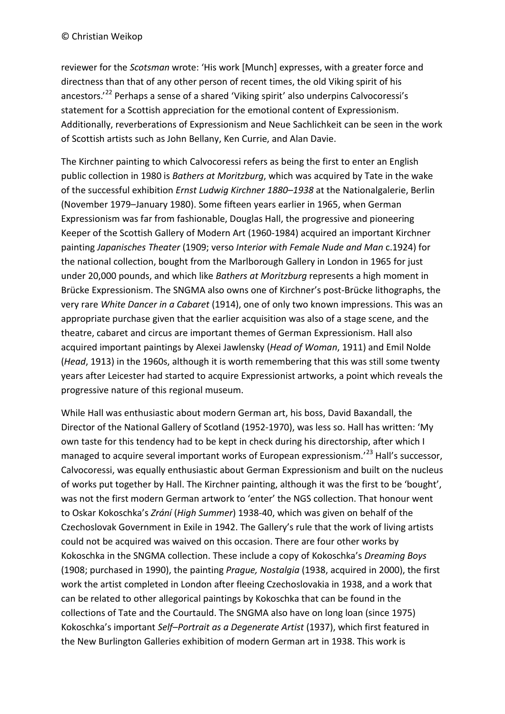reviewer for the *Scotsman* wrote: 'His work [Munch] expresses, with a greater force and directness than that of any other person of recent times, the old Viking spirit of his ancestors.<sup>[22](#page-14-4)</sup> Perhaps a sense of a shared 'Viking spirit' also underpins Calvocoressi's statement for a Scottish appreciation for the emotional content of Expressionism. Additionally, reverberations of Expressionism and Neue Sachlichkeit can be seen in the work of Scottish artists such as John Bellany, Ken Currie, and Alan Davie.

The Kirchner painting to which Calvocoressi refers as being the first to enter an English public collection in 1980 is *Bathers at Moritzburg*, which was acquired by Tate in the wake of the successful exhibition *Ernst Ludwig Kirchner 1880–1938* at the Nationalgalerie, Berlin (November 1979–January 1980). Some fifteen years earlier in 1965, when German Expressionism was far from fashionable, Douglas Hall, the progressive and pioneering Keeper of the Scottish Gallery of Modern Art (1960-1984) acquired an important Kirchner painting *Japanisches Theater* (1909; verso *Interior with Female Nude and Man* c.1924) for the national collection, bought from the Marlborough Gallery in London in 1965 for just under 20,000 pounds, and which like *Bathers at Moritzburg* represents a high moment in Brücke Expressionism. The SNGMA also owns one of Kirchner's post-Brücke lithographs, the very rare *White Dancer in a Cabaret* (1914), one of only two known impressions. This was an appropriate purchase given that the earlier acquisition was also of a stage scene, and the theatre, cabaret and circus are important themes of German Expressionism. Hall also acquired important paintings by Alexei Jawlensky (*Head of Woman*, 1911) and Emil Nolde (*Head*, 1913) in the 1960s, although it is worth remembering that this was still some twenty years after Leicester had started to acquire Expressionist artworks, a point which reveals the progressive nature of this regional museum.

While Hall was enthusiastic about modern German art, his boss, David Baxandall, the Director of the National Gallery of Scotland (1952-1970), was less so. Hall has written: 'My own taste for this tendency had to be kept in check during his directorship, after which I managed to acquire several important works of European expressionism.<sup>'[23](#page-14-14)</sup> Hall's successor, Calvocoressi, was equally enthusiastic about German Expressionism and built on the nucleus of works put together by Hall. The Kirchner painting, although it was the first to be 'bought', was not the first modern German artwork to 'enter' the NGS collection. That honour went to Oskar Kokoschka's *Zrání* (*High Summer*) 1938-40, which was given on behalf of the Czechoslovak Government in Exile in 1942. The Gallery's rule that the work of living artists could not be acquired was waived on this occasion. There are four other works by Kokoschka in the SNGMA collection. These include a copy of Kokoschka's *Dreaming Boys* (1908; purchased in 1990), the painting *Prague, Nostalgia* (1938, acquired in 2000), the first work the artist completed in London after fleeing Czechoslovakia in 1938, and a work that can be related to other allegorical paintings by Kokoschka that can be found in the collections of Tate and the Courtauld. The SNGMA also have on long loan (since 1975) Kokoschka's important *Self–Portrait as a Degenerate Artist* (1937), which first featured in the New Burlington Galleries exhibition of modern German art in 1938. This work is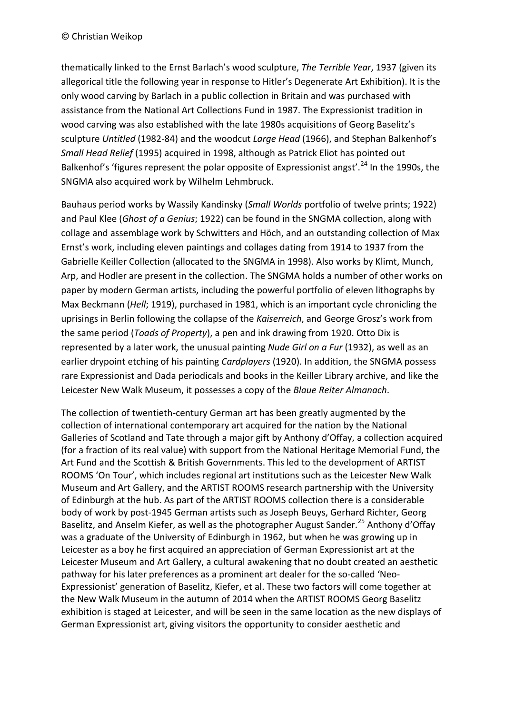thematically linked to the Ernst Barlach's wood sculpture, *The Terrible Year*, 1937 (given its allegorical title the following year in response to Hitler's Degenerate Art Exhibition). It is the only wood carving by Barlach in a public collection in Britain and was purchased with assistance from the National Art Collections Fund in 1987. The Expressionist tradition in wood carving was also established with the late 1980s acquisitions of Georg Baselitz's sculpture *Untitled* (1982-84) and the woodcut *Large Head* (1966), and Stephan Balkenhof's *Small Head Relief* (1995) acquired in 1998, although as Patrick Eliot has pointed out Balkenhof's 'figures represent the polar opposite of Expressionist angst'.<sup>[24](#page-14-15)</sup> In the 1990s, the SNGMA also acquired work by Wilhelm Lehmbruck.

Bauhaus period works by Wassily Kandinsky (*Small Worlds* portfolio of twelve prints; 1922) and Paul Klee (*Ghost of a Genius*; 1922) can be found in the SNGMA collection, along with collage and assemblage work by Schwitters and Höch, and an outstanding collection of Max Ernst's work, including eleven paintings and collages dating from 1914 to 1937 from the Gabrielle Keiller Collection (allocated to the SNGMA in 1998). Also works by Klimt, Munch, Arp, and Hodler are present in the collection. The SNGMA holds a number of other works on paper by modern German artists, including the powerful portfolio of eleven lithographs by Max Beckmann (*Hell*; 1919), purchased in 1981, which is an important cycle chronicling the uprisings in Berlin following the collapse of the *Kaiserreich*, and George Grosz's work from the same period (*Toads of Property*), a pen and ink drawing from 1920. Otto Dix is represented by a later work, the unusual painting *Nude Girl on a Fur* (1932), as well as an earlier drypoint etching of his painting *Cardplayers* (1920). In addition, the SNGMA possess rare Expressionist and Dada periodicals and books in the Keiller Library archive, and like the Leicester New Walk Museum, it possesses a copy of the *Blaue Reiter Almanach*.

The collection of twentieth-century German art has been greatly augmented by the collection of international contemporary art acquired for the nation by the National Galleries of Scotland and Tate through a major gift by Anthony d'Offay, a collection acquired (for a fraction of its real value) with support from the National Heritage Memorial Fund, the Art Fund and the Scottish & British Governments. This led to the development of ARTIST ROOMS 'On Tour', which includes regional art institutions such as the Leicester New Walk Museum and Art Gallery, and the ARTIST ROOMS research partnership with the University of Edinburgh at the hub. As part of the ARTIST ROOMS collection there is a considerable body of work by post-1945 German artists such as Joseph Beuys, Gerhard Richter, Georg Baselitz, and Anselm Kiefer, as well as the photographer August Sander.<sup>[25](#page-14-16)</sup> Anthony d'Offay was a graduate of the University of Edinburgh in 1962, but when he was growing up in Leicester as a boy he first acquired an appreciation of German Expressionist art at the Leicester Museum and Art Gallery, a cultural awakening that no doubt created an aesthetic pathway for his later preferences as a prominent art dealer for the so-called 'Neo-Expressionist' generation of Baselitz, Kiefer, et al. These two factors will come together at the New Walk Museum in the autumn of 2014 when the ARTIST ROOMS Georg Baselitz exhibition is staged at Leicester, and will be seen in the same location as the new displays of German Expressionist art, giving visitors the opportunity to consider aesthetic and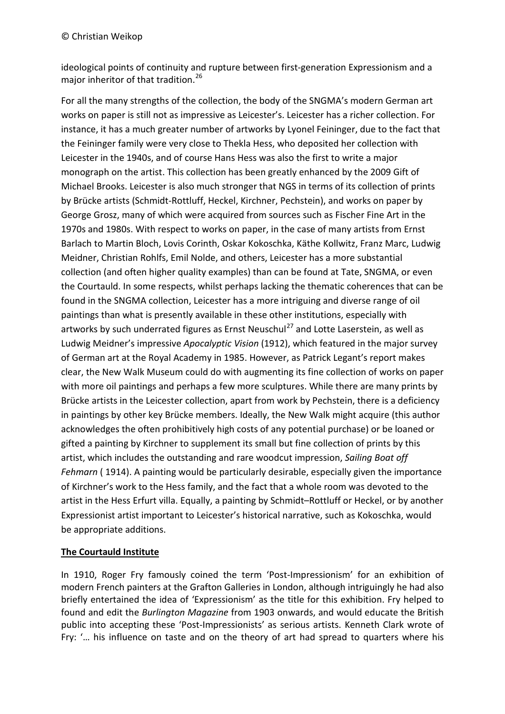ideological points of continuity and rupture between first-generation Expressionism and a major inheritor of that tradition. [26](#page-14-17)

For all the many strengths of the collection, the body of the SNGMA's modern German art works on paper is still not as impressive as Leicester's. Leicester has a richer collection. For instance, it has a much greater number of artworks by Lyonel Feininger, due to the fact that the Feininger family were very close to Thekla Hess, who deposited her collection with Leicester in the 1940s, and of course Hans Hess was also the first to write a major monograph on the artist. This collection has been greatly enhanced by the 2009 Gift of Michael Brooks. Leicester is also much stronger that NGS in terms of its collection of prints by Brücke artists (Schmidt-Rottluff, Heckel, Kirchner, Pechstein), and works on paper by George Grosz, many of which were acquired from sources such as Fischer Fine Art in the 1970s and 1980s. With respect to works on paper, in the case of many artists from Ernst Barlach to Martin Bloch, Lovis Corinth, Oskar Kokoschka, Käthe Kollwitz, Franz Marc, Ludwig Meidner, Christian Rohlfs, Emil Nolde, and others, Leicester has a more substantial collection (and often higher quality examples) than can be found at Tate, SNGMA, or even the Courtauld. In some respects, whilst perhaps lacking the thematic coherences that can be found in the SNGMA collection, Leicester has a more intriguing and diverse range of oil paintings than what is presently available in these other institutions, especially with artworks by such underrated figures as Ernst Neuschul<sup>[27](#page-14-18)</sup> and Lotte Laserstein, as well as Ludwig Meidner's impressive *Apocalyptic Vision* (1912), which featured in the major survey of German art at the Royal Academy in 1985. However, as Patrick Legant's report makes clear, the New Walk Museum could do with augmenting its fine collection of works on paper with more oil paintings and perhaps a few more sculptures. While there are many prints by Brücke artists in the Leicester collection, apart from work by Pechstein, there is a deficiency in paintings by other key Brücke members. Ideally, the New Walk might acquire (this author acknowledges the often prohibitively high costs of any potential purchase) or be loaned or gifted a painting by Kirchner to supplement its small but fine collection of prints by this artist, which includes the outstanding and rare woodcut impression, *Sailing Boat off Fehmarn* ( 1914). A painting would be particularly desirable, especially given the importance of Kirchner's work to the Hess family, and the fact that a whole room was devoted to the artist in the Hess Erfurt villa. Equally, a painting by Schmidt–Rottluff or Heckel, or by another Expressionist artist important to Leicester's historical narrative, such as Kokoschka, would be appropriate additions.

## **The Courtauld Institute**

In 1910, Roger Fry famously coined the term 'Post-Impressionism' for an exhibition of modern French painters at the Grafton Galleries in London, although intriguingly he had also briefly entertained the idea of 'Expressionism' as the title for this exhibition. Fry helped to found and edit the *Burlington Magazine* from 1903 onwards, and would educate the British public into accepting these 'Post-Impressionists' as serious artists. Kenneth Clark wrote of Fry: '... his influence on taste and on the theory of art had spread to quarters where his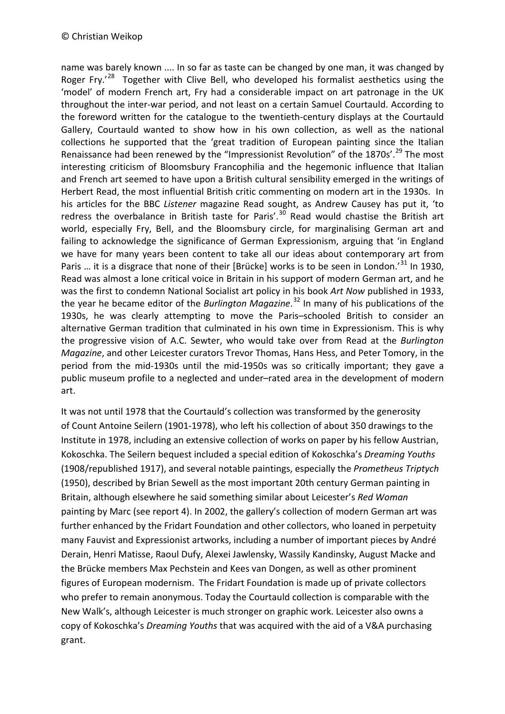name was barely known .... In so far as taste can be changed by one man, it was changed by Roger Fry.<sup>[28](#page-14-19)</sup> Together with Clive Bell, who developed his formalist aesthetics using the 'model' of modern French art, Fry had a considerable impact on art patronage in the UK throughout the inter-war period, and not least on a certain Samuel Courtauld. According to the foreword written for the catalogue to the twentieth-century displays at the Courtauld Gallery, Courtauld wanted to show how in his own collection, as well as the national collections he supported that the 'great tradition of European painting since the Italian Renaissance had been renewed by the "Impressionist Revolution" of the 1870s'.<sup>[29](#page-14-20)</sup> The most interesting criticism of Bloomsbury Francophilia and the hegemonic influence that Italian and French art seemed to have upon a British cultural sensibility emerged in the writings of Herbert Read, the most influential British critic commenting on modern art in the 1930s. In his articles for the BBC *Listener* magazine Read sought, as Andrew Causey has put it, 'to redress the overbalance in British taste for Paris'.<sup>[30](#page-14-21)</sup> Read would chastise the British art world, especially Fry, Bell, and the Bloomsbury circle, for marginalising German art and failing to acknowledge the significance of German Expressionism, arguing that 'in England we have for many years been content to take all our ideas about contemporary art from Paris ... it is a disgrace that none of their [Brücke] works is to be seen in London.<sup>[31](#page-14-22)</sup> In 1930, Read was almost a lone critical voice in Britain in his support of modern German art, and he was the first to condemn National Socialist art policy in his book *Art Now* published in 1933, the year he became editor of the *Burlington Magazine*. [32](#page-14-23) In many of his publications of the 1930s, he was clearly attempting to move the Paris–schooled British to consider an alternative German tradition that culminated in his own time in Expressionism. This is why the progressive vision of A.C. Sewter, who would take over from Read at the *Burlington Magazine*, and other Leicester curators Trevor Thomas, Hans Hess, and Peter Tomory, in the period from the mid-1930s until the mid-1950s was so critically important; they gave a public museum profile to a neglected and under–rated area in the development of modern art.

It was not until 1978 that the Courtauld's collection was transformed by the generosity of Count Antoine Seilern (1901-1978), who left his collection of about 350 drawings to the Institute in 1978, including an extensive collection of works on paper by his fellow Austrian, Kokoschka. The Seilern bequest included a special edition of Kokoschka's *Dreaming Youths* (1908/republished 1917), and several notable paintings, especially the *Prometheus Triptych* (1950), described by Brian Sewell as the most important 20th century German painting in Britain, although elsewhere he said something similar about Leicester's *Red Woman* painting by Marc (see report 4). In 2002, the gallery's collection of modern German art was further enhanced by the Fridart Foundation and other collectors, who loaned in perpetuity many Fauvist and Expressionist artworks, including a number of important pieces by André Derain, Henri Matisse, Raoul Dufy, Alexei Jawlensky, Wassily Kandinsky, August Macke and the Brücke members Max Pechstein and Kees van Dongen, as well as other prominent figures of European modernism. The Fridart Foundation is made up of private collectors who prefer to remain anonymous. Today the Courtauld collection is comparable with the New Walk's, although Leicester is much stronger on graphic work. Leicester also owns a copy of Kokoschka's *Dreaming Youths* that was acquired with the aid of a V&A purchasing grant.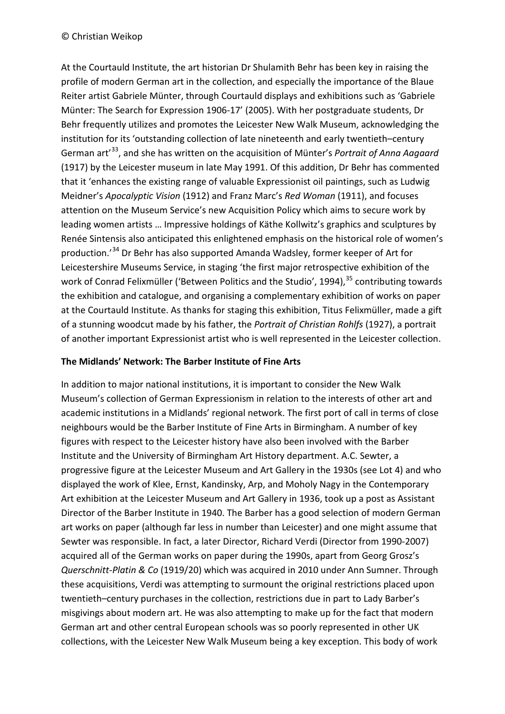At the Courtauld Institute, the art historian Dr Shulamith Behr has been key in raising the profile of modern German art in the collection, and especially the importance of the Blaue Reiter artist Gabriele Münter, through Courtauld displays and exhibitions such as 'Gabriele Münter: The Search for Expression 1906-17' (2005). With her postgraduate students, Dr Behr frequently utilizes and promotes the Leicester New Walk Museum, acknowledging the institution for its 'outstanding collection of late nineteenth and early twentieth–century German art'[33,](#page-14-13) and she has written on the acquisition of Münter's *Portrait of Anna Aagaard* (1917) by the Leicester museum in late May 1991. Of this addition, Dr Behr has commented that it 'enhances the existing range of valuable Expressionist oil paintings, such as Ludwig Meidner's *Apocalyptic Vision* (1912) and Franz Marc's *Red Woman* (1911), and focuses attention on the Museum Service's new Acquisition Policy which aims to secure work by leading women artists … Impressive holdings of Käthe Kollwitz's graphics and sculptures by Renée Sintensis also anticipated this enlightened emphasis on the historical role of women's production.'[34](#page-14-24) Dr Behr has also supported Amanda Wadsley, former keeper of Art for Leicestershire Museums Service, in staging 'the first major retrospective exhibition of the work of Conrad Felixmüller ('Between Politics and the Studio', 1994),<sup>[35](#page-14-25)</sup> contributing towards the exhibition and catalogue, and organising a complementary exhibition of works on paper at the Courtauld Institute. As thanks for staging this exhibition, Titus Felixmüller, made a gift of a stunning woodcut made by his father, the *Portrait of Christian Rohlfs* (1927), a portrait of another important Expressionist artist who is well represented in the Leicester collection.

### **The Midlands' Network: The Barber Institute of Fine Arts**

In addition to major national institutions, it is important to consider the New Walk Museum's collection of German Expressionism in relation to the interests of other art and academic institutions in a Midlands' regional network. The first port of call in terms of close neighbours would be the Barber Institute of Fine Arts in Birmingham. A number of key figures with respect to the Leicester history have also been involved with the Barber Institute and the University of Birmingham Art History department. A.C. Sewter, a progressive figure at the Leicester Museum and Art Gallery in the 1930s (see Lot 4) and who displayed the work of Klee, Ernst, Kandinsky, Arp, and Moholy Nagy in the Contemporary Art exhibition at the Leicester Museum and Art Gallery in 1936, took up a post as Assistant Director of the Barber Institute in 1940. The Barber has a good selection of modern German art works on paper (although far less in number than Leicester) and one might assume that Sewter was responsible. In fact, a later Director, Richard Verdi (Director from 1990-2007) acquired all of the German works on paper during the 1990s, apart from Georg Grosz's *Querschnitt-Platin & Co* (1919/20) which was acquired in 2010 under Ann Sumner. Through these acquisitions, Verdi was attempting to surmount the original restrictions placed upon twentieth–century purchases in the collection, restrictions due in part to Lady Barber's misgivings about modern art. He was also attempting to make up for the fact that modern German art and other central European schools was so poorly represented in other UK collections, with the Leicester New Walk Museum being a key exception. This body of work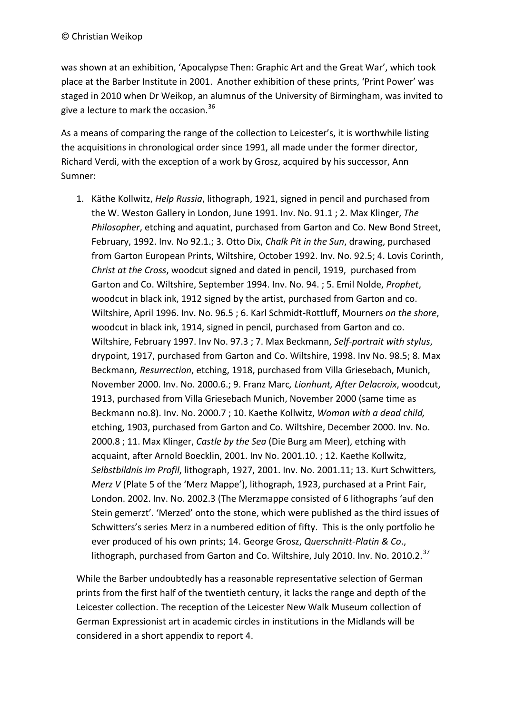#### © Christian Weikop

was shown at an exhibition, 'Apocalypse Then: Graphic Art and the Great War', which took place at the Barber Institute in 2001. Another exhibition of these prints, 'Print Power' was staged in 2010 when Dr Weikop, an alumnus of the University of Birmingham, was invited to give a lecture to mark the occasion.<sup>[36](#page-14-26)</sup>

As a means of comparing the range of the collection to Leicester's, it is worthwhile listing the acquisitions in chronological order since 1991, all made under the former director, Richard Verdi, with the exception of a work by Grosz, acquired by his successor, Ann Sumner:

1. Käthe Kollwitz, *Help Russia*, lithograph, 1921, signed in pencil and purchased from the W. Weston Gallery in London, June 1991. Inv. No. 91.1 ; 2. Max Klinger, *The Philosopher*, etching and aquatint, purchased from Garton and Co. New Bond Street, February, 1992. Inv. No 92.1.; 3. Otto Dix, *Chalk Pit in the Sun*, drawing, purchased from Garton European Prints, Wiltshire, October 1992. Inv. No. 92.5; 4. Lovis Corinth, *Christ at the Cross*, woodcut signed and dated in pencil, 1919, purchased from Garton and Co. Wiltshire, September 1994. Inv. No. 94. ; 5. Emil Nolde, *Prophet*, woodcut in black ink, 1912 signed by the artist, purchased from Garton and co. Wiltshire, April 1996. Inv. No. 96.5 ; 6. Karl Schmidt-Rottluff, Mourners *on the shore*, woodcut in black ink, 1914, signed in pencil, purchased from Garton and co. Wiltshire, February 1997. Inv No. 97.3 ; 7. Max Beckmann, *Self-portrait with stylus*, drypoint, 1917, purchased from Garton and Co. Wiltshire, 1998. Inv No. 98.5; 8. Max Beckmann*, Resurrection*, etching, 1918, purchased from Villa Griesebach, Munich, November 2000. Inv. No. 2000.6.; 9. Franz Marc*, Lionhunt, After Delacroix*, woodcut, 1913, purchased from Villa Griesebach Munich, November 2000 (same time as Beckmann no.8). Inv. No. 2000.7 ; 10. Kaethe Kollwitz, *Woman with a dead child,* etching, 1903, purchased from Garton and Co. Wiltshire, December 2000. Inv. No. 2000.8 ; 11. Max Klinger, *Castle by the Sea* (Die Burg am Meer), etching with acquaint, after Arnold Boecklin, 2001. Inv No. 2001.10. ; 12. Kaethe Kollwitz, *Selbstbildnis im Profil*, lithograph, 1927, 2001. Inv. No. 2001.11; 13. Kurt Schwitters*, Merz V* (Plate 5 of the 'Merz Mappe'), lithograph, 1923, purchased at a Print Fair, London. 2002. Inv. No. 2002.3 (The Merzmappe consisted of 6 lithographs 'auf den Stein gemerzt'. 'Merzed' onto the stone, which were published as the third issues of Schwitters's series Merz in a numbered edition of fifty. This is the only portfolio he ever produced of his own prints; 14. George Grosz, *Querschnitt-Platin & Co*., lithograph, purchased from Garton and Co. Wiltshire, July 2010. Inv. No. 2010.2.<sup>[37](#page-14-27)</sup>

While the Barber undoubtedly has a reasonable representative selection of German prints from the first half of the twentieth century, it lacks the range and depth of the Leicester collection. The reception of the Leicester New Walk Museum collection of German Expressionist art in academic circles in institutions in the Midlands will be considered in a short appendix to report 4.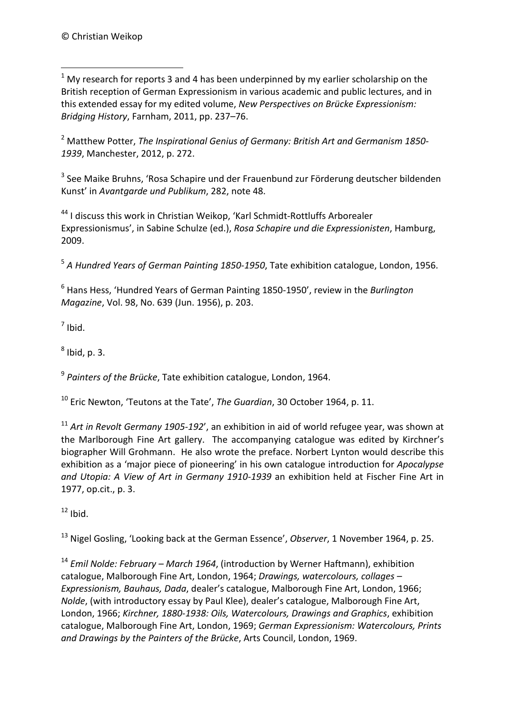<span id="page-12-0"></span> $1$  My research for reports 3 and 4 has been underpinned by my earlier scholarship on the British reception of German Expressionism in various academic and public lectures, and in this extended essay for my edited volume, *New Perspectives on Brücke Expressionism: Bridging History*, Farnham, 2011, pp. 237–76. -

<sup>2</sup> Matthew Potter, *The Inspirational Genius of Germany: British Art and Germanism 1850- 1939*, Manchester, 2012, p. 272.

<sup>3</sup> See Maike Bruhns, 'Rosa Schapire und der Frauenbund zur Förderung deutscher bildenden Kunst' in *Avantgarde und Publikum*, 282, note 48.

<sup>44</sup> I discuss this work in Christian Weikop, 'Karl Schmidt-Rottluffs Arborealer Expressionismus', in Sabine Schulze (ed.), *Rosa Schapire und die Expressionisten*, Hamburg, 2009.

<sup>5</sup> *A Hundred Years of German Painting 1850-1950*, Tate exhibition catalogue, London, 1956.

<sup>6</sup> Hans Hess, 'Hundred Years of German Painting 1850-1950', review in the *Burlington Magazine*, Vol. 98, No. 639 (Jun. 1956), p. 203.

 $<sup>7</sup>$  Ibid.</sup>

 $<sup>8</sup>$  Ibid, p. 3.</sup>

<sup>9</sup> *Painters of the Brücke*, Tate exhibition catalogue, London, 1964.

<sup>10</sup> Eric Newton, 'Teutons at the Tate', *The Guardian*, 30 October 1964, p. 11.

<sup>11</sup> *Art in Revolt Germany 1905-192*', an exhibition in aid of world refugee year, was shown at the Marlborough Fine Art gallery. The accompanying catalogue was edited by Kirchner's biographer Will Grohmann. He also wrote the preface. Norbert Lynton would describe this exhibition as a 'major piece of pioneering' in his own catalogue introduction for *Apocalypse and Utopia: A View of Art in Germany 1910-1939* an exhibition held at Fischer Fine Art in 1977, op.cit., p. 3.

 $12$  Ibid.

<sup>13</sup> Nigel Gosling, 'Looking back at the German Essence', *Observer*, 1 November 1964, p. 25.

<sup>14</sup> *Emil Nolde: February – March 1964*, (introduction by Werner Haftmann), exhibition catalogue, Malborough Fine Art, London, 1964; *Drawings, watercolours, collages – Expressionism, Bauhaus, Dada*, dealer's catalogue, Malborough Fine Art, London, 1966; *Nolde*, (with introductory essay by Paul Klee), dealer's catalogue, Malborough Fine Art, London, 1966; *Kirchner, 1880-1938: Oils, Watercolours, Drawings and Graphics*, exhibition catalogue, Malborough Fine Art, London, 1969; *German Expressionism: Watercolours, Prints and Drawings by the Painters of the Brücke*, Arts Council, London, 1969.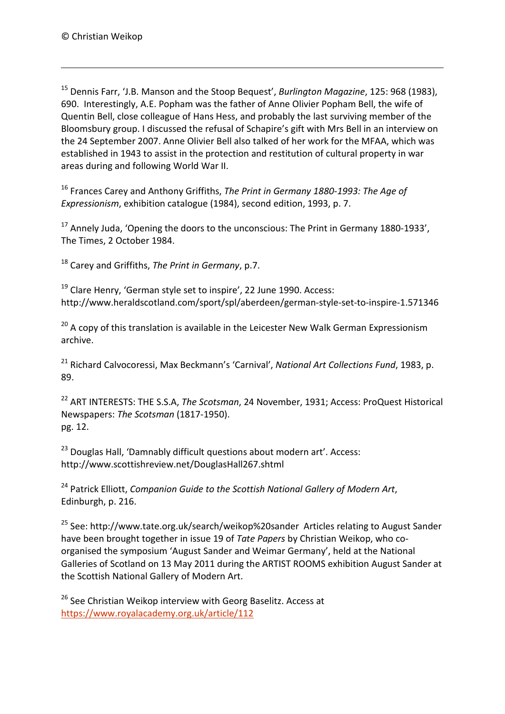-

<sup>15</sup> Dennis Farr, 'J.B. Manson and the Stoop Bequest', *Burlington Magazine*, 125: 968 (1983), 690. Interestingly, A.E. Popham was the father of Anne Olivier Popham Bell, the wife of Quentin Bell, close colleague of Hans Hess, and probably the last surviving member of the Bloomsbury group. I discussed the refusal of Schapire's gift with Mrs Bell in an interview on the 24 September 2007. Anne Olivier Bell also talked of her work for the MFAA, which was established in 1943 to assist in the protection and restitution of cultural property in war areas during and following World War II.

<span id="page-13-1"></span><span id="page-13-0"></span><sup>16</sup> Frances Carey and Anthony Griffiths, *The Print in Germany 1880-1993: The Age of Expressionism*, exhibition catalogue (1984), second edition, 1993, p. 7.

<span id="page-13-2"></span> $17$  Annely Juda, 'Opening the doors to the unconscious: The Print in Germany 1880-1933', The Times, 2 October 1984.

<span id="page-13-3"></span><sup>18</sup> Carey and Griffiths, *The Print in Germany*, p.7.

 $19$  Clare Henry, 'German style set to inspire', 22 June 1990. Access: http://www.heraldscotland.com/sport/spl/aberdeen/german-style-set-to-inspire-1.571346

 $20$  A copy of this translation is available in the Leicester New Walk German Expressionism archive.

<sup>21</sup> Richard Calvocoressi, Max Beckmann's 'Carnival', *National Art Collections Fund*, 1983, p. 89.

<sup>22</sup> ART INTERESTS: THE S.S.A, *The Scotsman*, 24 November, 1931; Access: ProQuest Historical Newspapers: *The Scotsman* (1817-1950). pg. 12.

<sup>23</sup> Douglas Hall, 'Damnably difficult questions about modern art'. Access: http://www.scottishreview.net/DouglasHall267.shtml

<sup>24</sup> Patrick Elliott, *Companion Guide to the Scottish National Gallery of Modern Art*, Edinburgh, p. 216.

<sup>25</sup> See: http://www.tate.org.uk/search/weikop%20sander Articles relating to August Sander have been brought together in issue 19 of *Tate Papers* by Christian Weikop, who coorganised the symposium 'August Sander and Weimar Germany', held at the National Galleries of Scotland on 13 May 2011 during the ARTIST ROOMS exhibition August Sander at the Scottish National Gallery of Modern Art.

<sup>26</sup> See Christian Weikop interview with Georg Baselitz. Access at <https://www.royalacademy.org.uk/article/112>